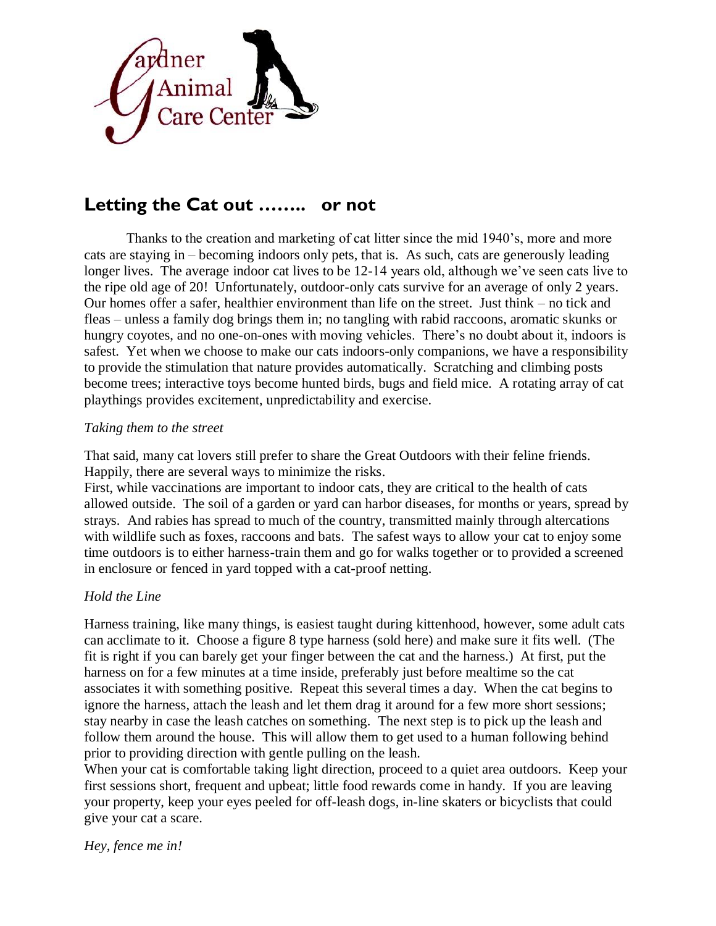

## **Letting the Cat out …….. or not**

Thanks to the creation and marketing of cat litter since the mid 1940's, more and more cats are staying in – becoming indoors only pets, that is. As such, cats are generously leading longer lives. The average indoor cat lives to be 12-14 years old, although we've seen cats live to the ripe old age of 20! Unfortunately, outdoor-only cats survive for an average of only 2 years. Our homes offer a safer, healthier environment than life on the street. Just think – no tick and fleas – unless a family dog brings them in; no tangling with rabid raccoons, aromatic skunks or hungry coyotes, and no one-on-ones with moving vehicles. There's no doubt about it, indoors is safest. Yet when we choose to make our cats indoors-only companions, we have a responsibility to provide the stimulation that nature provides automatically. Scratching and climbing posts become trees; interactive toys become hunted birds, bugs and field mice. A rotating array of cat playthings provides excitement, unpredictability and exercise.

## *Taking them to the street*

That said, many cat lovers still prefer to share the Great Outdoors with their feline friends. Happily, there are several ways to minimize the risks.

First, while vaccinations are important to indoor cats, they are critical to the health of cats allowed outside. The soil of a garden or yard can harbor diseases, for months or years, spread by strays. And rabies has spread to much of the country, transmitted mainly through altercations with wildlife such as foxes, raccoons and bats. The safest ways to allow your cat to enjoy some time outdoors is to either harness-train them and go for walks together or to provided a screened in enclosure or fenced in yard topped with a cat-proof netting.

## *Hold the Line*

Harness training, like many things, is easiest taught during kittenhood, however, some adult cats can acclimate to it. Choose a figure 8 type harness (sold here) and make sure it fits well. (The fit is right if you can barely get your finger between the cat and the harness.) At first, put the harness on for a few minutes at a time inside, preferably just before mealtime so the cat associates it with something positive. Repeat this several times a day. When the cat begins to ignore the harness, attach the leash and let them drag it around for a few more short sessions; stay nearby in case the leash catches on something. The next step is to pick up the leash and follow them around the house. This will allow them to get used to a human following behind prior to providing direction with gentle pulling on the leash.

When your cat is comfortable taking light direction, proceed to a quiet area outdoors. Keep your first sessions short, frequent and upbeat; little food rewards come in handy. If you are leaving your property, keep your eyes peeled for off-leash dogs, in-line skaters or bicyclists that could give your cat a scare.

*Hey, fence me in!*